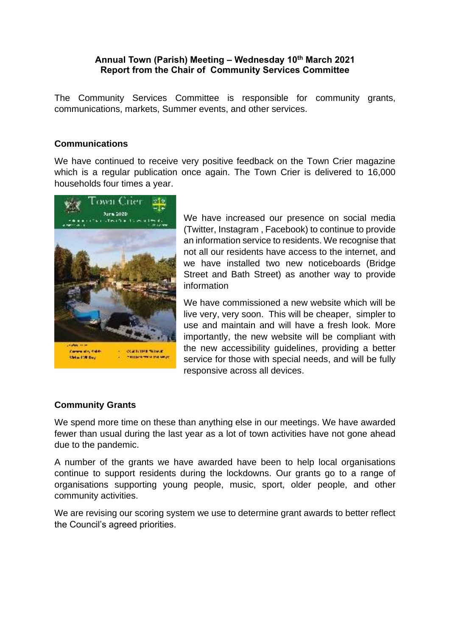## **Annual Town (Parish) Meeting – Wednesday 10th March 2021 Report from the Chair of Community Services Committee**

The Community Services Committee is responsible for community grants, communications, markets, Summer events, and other services.

## **Communications**

We have continued to receive very positive feedback on the Town Crier magazine which is a regular publication once again. The Town Crier is delivered to 16,000 households four times a year.



We have increased our presence on social media (Twitter, Instagram , Facebook) to continue to provide an information service to residents. We recognise that not all our residents have access to the internet, and we have installed two new noticeboards (Bridge Street and Bath Street) as another way to provide information

We have commissioned a new website which will be live very, very soon. This will be cheaper, simpler to use and maintain and will have a fresh look. More importantly, the new website will be compliant with the new accessibility guidelines, providing a better service for those with special needs, and will be fully responsive across all devices.

# **Community Grants**

We spend more time on these than anything else in our meetings. We have awarded fewer than usual during the last year as a lot of town activities have not gone ahead due to the pandemic.

A number of the grants we have awarded have been to help local organisations continue to support residents during the lockdowns. Our grants go to a range of organisations supporting young people, music, sport, older people, and other community activities.

We are revising our scoring system we use to determine grant awards to better reflect the Council's agreed priorities.